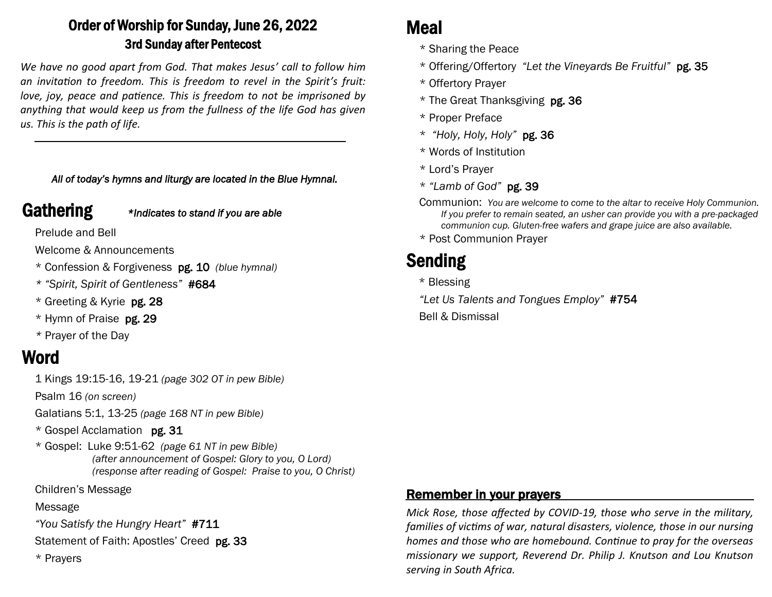# Order of Worship for Sunday, June 26, 2022 3rd Sunday after Pentecost

*We have no good apart from God. That makes Jesus' call to follow him an invitation to freedom. This is freedom to revel in the Spirit's fruit: love, joy, peace and patience. This is freedom to not be imprisoned by anything that would keep us from the fullness of the life God has given us. This is the path of life.*

#### *All of today's hymns and liturgy are located in the Blue Hymnal.*

Gathering *\*Indicates to stand if you are able*

Prelude and Bell

Welcome & Announcements

- \* Confession & Forgiveness pg. 10 *(blue hymnal)*
- *\* "Spirit, Spirit of Gentleness"* #684
- \* Greeting & Kyrie pg. 28
- \* Hymn of Praise pg. 29
- *\** Prayer of the Day

# Word

1 Kings 19:15-16, 19-21 *(page 302 OT in pew Bible)* 

Psalm 16 *(on screen)*

Galatians 5:1, 13-25 *(page 168 NT in pew Bible)*

- \* Gospel Acclamation pg. 31
- \* Gospel: Luke 9:51-62 *(page 61 NT in pew Bible) (after announcement of Gospel: Glory to you, O Lord) (response after reading of Gospel: Praise to you, O Christ)*

Children's Message

## Message

*"You Satisfy the Hungry Heart"* #711

Statement of Faith: Apostles' Creed pg. 33

\* Prayers

# Meal

- \* Sharing the Peace
- \* Offering/Offertory *"Let the Vineyards Be Fruitful"* pg. 35
- \* Offertory Prayer
- \* The Great Thanksgiving pg. 36
- \* Proper Preface
- \* *"Holy, Holy, Holy"* pg. 36
- \* Words of Institution
- \* Lord's Prayer
- \* *"Lamb of God"* pg. 39
- Communion: *You are welcome to come to the altar to receive Holy Communion. If you prefer to remain seated, an usher can provide you with a pre-packaged communion cup. Gluten-free wafers and grape juice are also available.*
- \* Post Communion Prayer

# Sending

- \* Blessing
- *"Let Us Talents and Tongues Employ"* #754
- Bell & Dismissal

## Remember in your prayers

*Mick Rose, those affected by COVID-19, those who serve in the military, families of victims of war, natural disasters, violence, those in our nursing homes and those who are homebound. Continue to pray for the overseas missionary we support, Reverend Dr. Philip J. Knutson and Lou Knutson serving in South Africa.*